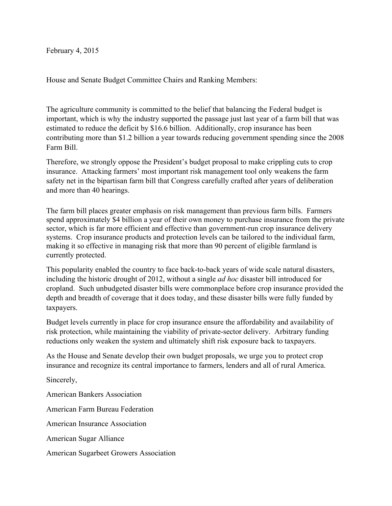February 4, 2015

House and Senate Budget Committee Chairs and Ranking Members:

The agriculture community is committed to the belief that balancing the Federal budget is important, which is why the industry supported the passage just last year of a farm bill that was estimated to reduce the deficit by \$16.6 billion. Additionally, crop insurance has been contributing more than \$1.2 billion a year towards reducing government spending since the 2008 Farm Bill.

Therefore, we strongly oppose the President's budget proposal to make crippling cuts to crop insurance. Attacking farmers' most important risk management tool only weakens the farm safety net in the bipartisan farm bill that Congress carefully crafted after years of deliberation and more than 40 hearings.

The farm bill places greater emphasis on risk management than previous farm bills. Farmers spend approximately \$4 billion a year of their own money to purchase insurance from the private sector, which is far more efficient and effective than government-run crop insurance delivery systems. Crop insurance products and protection levels can be tailored to the individual farm, making it so effective in managing risk that more than 90 percent of eligible farmland is currently protected.

This popularity enabled the country to face back-to-back years of wide scale natural disasters, including the historic drought of 2012, without a single *ad hoc* disaster bill introduced for cropland. Such unbudgeted disaster bills were commonplace before crop insurance provided the depth and breadth of coverage that it does today, and these disaster bills were fully funded by taxpayers.

Budget levels currently in place for crop insurance ensure the affordability and availability of risk protection, while maintaining the viability of private-sector delivery. Arbitrary funding reductions only weaken the system and ultimately shift risk exposure back to taxpayers.

As the House and Senate develop their own budget proposals, we urge you to protect crop insurance and recognize its central importance to farmers, lenders and all of rural America.

Sincerely,

American Bankers Association American Farm Bureau Federation American Insurance Association American Sugar Alliance American Sugarbeet Growers Association